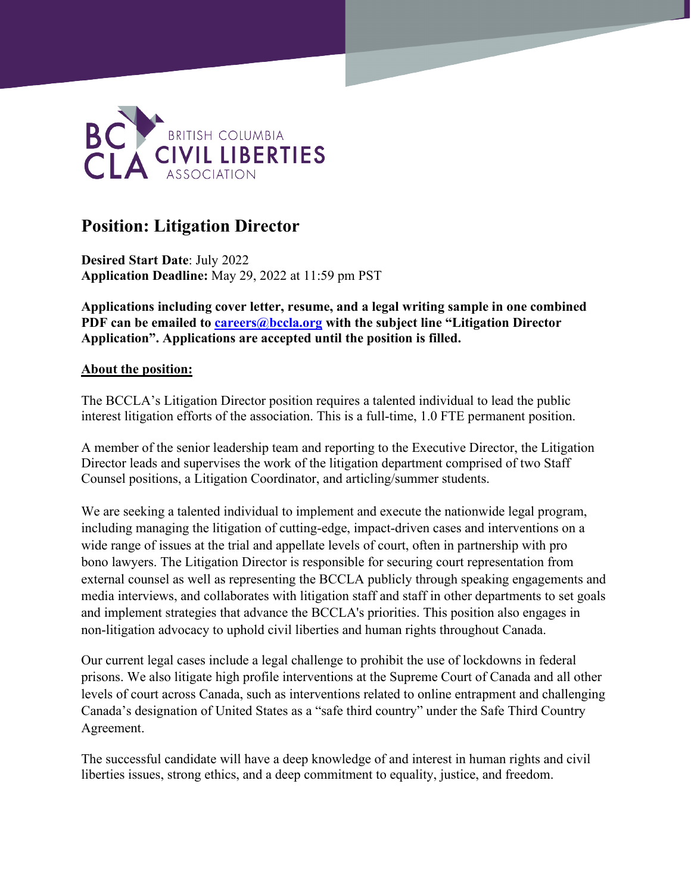

# **Position: Litigation Director**

**Desired Start Date**: July 2022 **Application Deadline:** May 29, 2022 at 11:59 pm PST

**Applications including cover letter, resume, and a legal writing sample in one combined PDF can be emailed to [careers@bccla.org](mailto:careers@bccla.org) with the subject line "Litigation Director Application". Applications are accepted until the position is filled.**

#### **About the position:**

The BCCLA's Litigation Director position requires a talented individual to lead the public interest litigation efforts of the association. This is a full-time, 1.0 FTE permanent position.

A member of the senior leadership team and reporting to the Executive Director, the Litigation Director leads and supervises the work of the litigation department comprised of two Staff Counsel positions, a Litigation Coordinator, and articling/summer students.

We are seeking a talented individual to implement and execute the nationwide legal program, including managing the litigation of cutting-edge, impact-driven cases and interventions on a wide range of issues at the trial and appellate levels of court, often in partnership with pro bono lawyers. The Litigation Director is responsible for securing court representation from external counsel as well as representing the BCCLA publicly through speaking engagements and media interviews, and collaborates with litigation staff and staff in other departments to set goals and implement strategies that advance the BCCLA's priorities. This position also engages in non-litigation advocacy to uphold civil liberties and human rights throughout Canada.

Our current legal cases include a legal challenge to prohibit the use of lockdowns in federal prisons. We also litigate high profile interventions at the Supreme Court of Canada and all other levels of court across Canada, such as interventions related to online entrapment and challenging Canada's designation of United States as a "safe third country" under the Safe Third Country Agreement.

The successful candidate will have a deep knowledge of and interest in human rights and civil liberties issues, strong ethics, and a deep commitment to equality, justice, and freedom.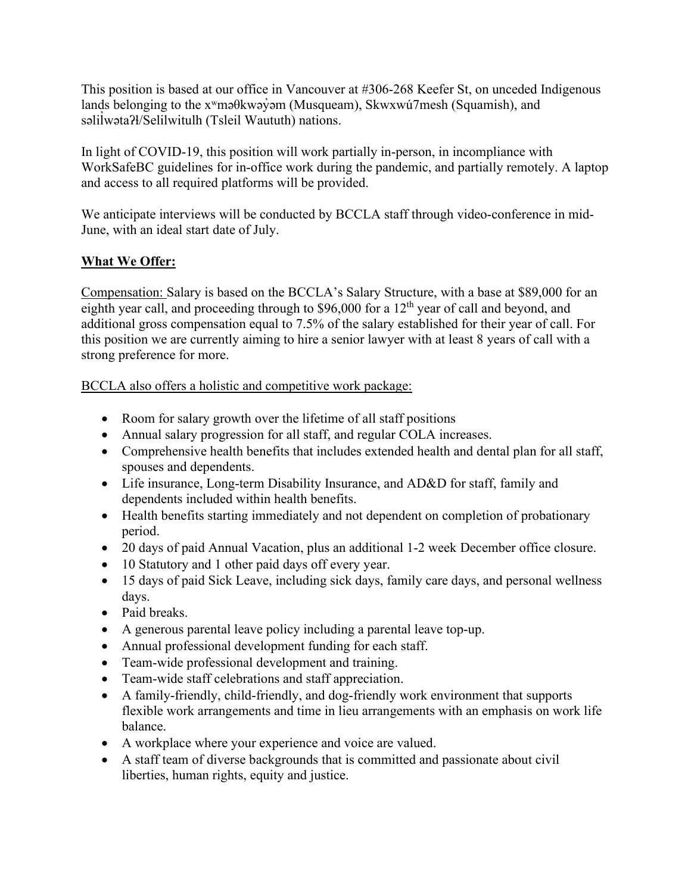This position is based at our office in Vancouver at #306-268 Keefer St, on unceded Indigenous lands belonging to the x<sup>w</sup>məθkwəy̓əm (Musqueam), Skwxwú7mesh (Squamish), and səlil wətaʔɬ/Selilwitulh (Tsleil Waututh) nations. ̓

In light of COVID-19, this position will work partially in-person, in incompliance with WorkSafeBC guidelines for in-office work during the pandemic, and partially remotely. A laptop and access to all required platforms will be provided.

We anticipate interviews will be conducted by BCCLA staff through video-conference in mid-June, with an ideal start date of July.

# **What We Offer:**

Compensation: Salary is based on the BCCLA's Salary Structure, with a base at \$89,000 for an eighth year call, and proceeding through to \$96,000 for a 12<sup>th</sup> year of call and beyond, and additional gross compensation equal to 7.5% of the salary established for their year of call. For this position we are currently aiming to hire a senior lawyer with at least 8 years of call with a strong preference for more.

BCCLA also offers a holistic and competitive work package:

- Room for salary growth over the lifetime of all staff positions
- Annual salary progression for all staff, and regular COLA increases.
- Comprehensive health benefits that includes extended health and dental plan for all staff, spouses and dependents.
- Life insurance, Long-term Disability Insurance, and AD&D for staff, family and dependents included within health benefits.
- Health benefits starting immediately and not dependent on completion of probationary period.
- 20 days of paid Annual Vacation, plus an additional 1-2 week December office closure.
- 10 Statutory and 1 other paid days off every year.
- 15 days of paid Sick Leave, including sick days, family care days, and personal wellness days.
- Paid breaks.
- A generous parental leave policy including a parental leave top-up.
- Annual professional development funding for each staff.
- Team-wide professional development and training.
- Team-wide staff celebrations and staff appreciation.
- A family-friendly, child-friendly, and dog-friendly work environment that supports flexible work arrangements and time in lieu arrangements with an emphasis on work life balance.
- A workplace where your experience and voice are valued.
- A staff team of diverse backgrounds that is committed and passionate about civil liberties, human rights, equity and justice.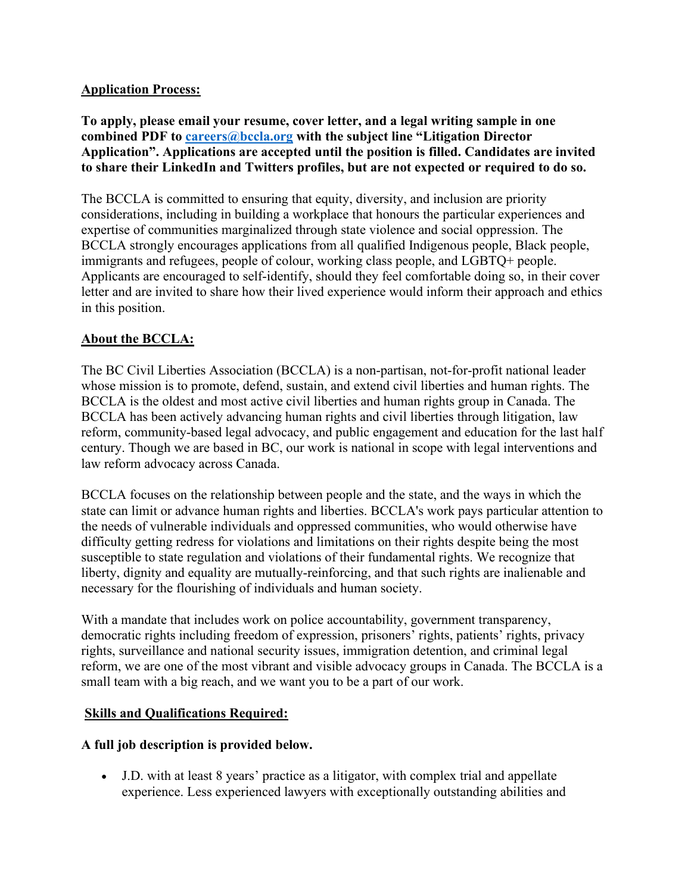#### **Application Process:**

**To apply, please email your resume, cover letter, and a legal writing sample in one combined PDF to [careers@bccla.org](mailto:careers@bccla.org) with the subject line "Litigation Director Application". Applications are accepted until the position is filled. Candidates are invited to share their LinkedIn and Twitters profiles, but are not expected or required to do so.**

The BCCLA is committed to ensuring that equity, diversity, and inclusion are priority considerations, including in building a workplace that honours the particular experiences and expertise of communities marginalized through state violence and social oppression. The BCCLA strongly encourages applications from all qualified Indigenous people, Black people, immigrants and refugees, people of colour, working class people, and LGBTQ+ people. Applicants are encouraged to self-identify, should they feel comfortable doing so, in their cover letter and are invited to share how their lived experience would inform their approach and ethics in this position.

# **About the BCCLA:**

The BC Civil Liberties Association (BCCLA) is a non-partisan, not-for-profit national leader whose mission is to promote, defend, sustain, and extend civil liberties and human rights. The BCCLA is the oldest and most active civil liberties and human rights group in Canada. The BCCLA has been actively advancing human rights and civil liberties through litigation, law reform, community-based legal advocacy, and public engagement and education for the last half century. Though we are based in BC, our work is national in scope with legal interventions and law reform advocacy across Canada.

BCCLA focuses on the relationship between people and the state, and the ways in which the state can limit or advance human rights and liberties. BCCLA's work pays particular attention to the needs of vulnerable individuals and oppressed communities, who would otherwise have difficulty getting redress for violations and limitations on their rights despite being the most susceptible to state regulation and violations of their fundamental rights. We recognize that liberty, dignity and equality are mutually-reinforcing, and that such rights are inalienable and necessary for the flourishing of individuals and human society.

With a mandate that includes work on police accountability, government transparency, democratic rights including freedom of expression, prisoners' rights, patients' rights, privacy rights, surveillance and national security issues, immigration detention, and criminal legal reform, we are one of the most vibrant and visible advocacy groups in Canada. The BCCLA is a small team with a big reach, and we want you to be a part of our work.

# **Skills and Qualifications Required:**

# **A full job description is provided below.**

• J.D. with at least 8 years' practice as a litigator, with complex trial and appellate experience. Less experienced lawyers with exceptionally outstanding abilities and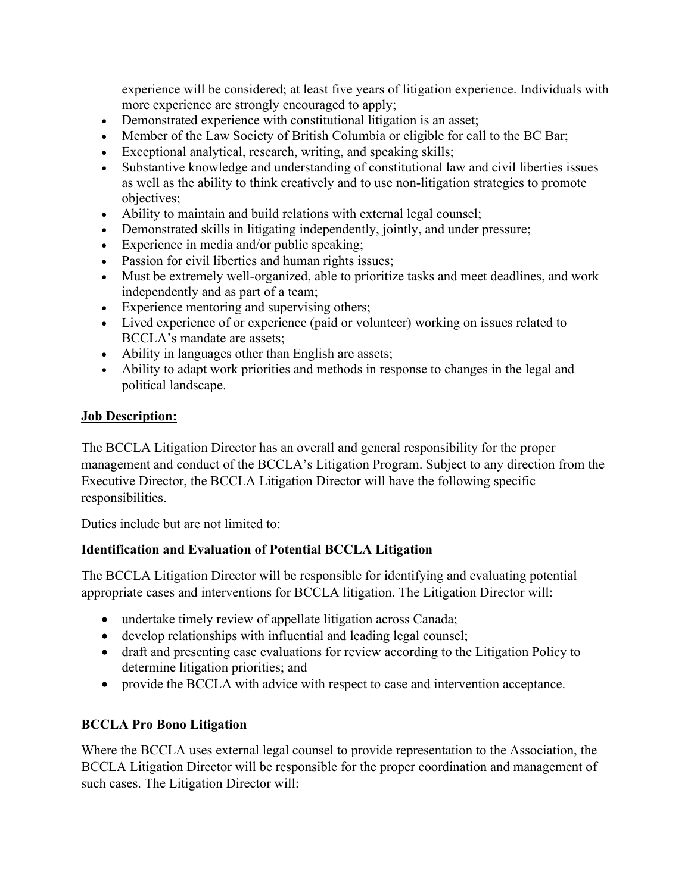experience will be considered; at least five years of litigation experience. Individuals with more experience are strongly encouraged to apply;

- Demonstrated experience with constitutional litigation is an asset;
- Member of the Law Society of British Columbia or eligible for call to the BC Bar;
- Exceptional analytical, research, writing, and speaking skills;
- Substantive knowledge and understanding of constitutional law and civil liberties issues as well as the ability to think creatively and to use non-litigation strategies to promote objectives;
- Ability to maintain and build relations with external legal counsel;
- Demonstrated skills in litigating independently, jointly, and under pressure;
- Experience in media and/or public speaking;
- Passion for civil liberties and human rights issues;
- Must be extremely well-organized, able to prioritize tasks and meet deadlines, and work independently and as part of a team;
- Experience mentoring and supervising others;
- Lived experience of or experience (paid or volunteer) working on issues related to BCCLA's mandate are assets;
- Ability in languages other than English are assets;
- Ability to adapt work priorities and methods in response to changes in the legal and political landscape.

## **Job Description:**

The BCCLA Litigation Director has an overall and general responsibility for the proper management and conduct of the BCCLA's Litigation Program. Subject to any direction from the Executive Director, the BCCLA Litigation Director will have the following specific responsibilities.

Duties include but are not limited to:

# **Identification and Evaluation of Potential BCCLA Litigation**

The BCCLA Litigation Director will be responsible for identifying and evaluating potential appropriate cases and interventions for BCCLA litigation. The Litigation Director will:

- undertake timely review of appellate litigation across Canada;
- develop relationships with influential and leading legal counsel;
- draft and presenting case evaluations for review according to the Litigation Policy to determine litigation priorities; and
- provide the BCCLA with advice with respect to case and intervention acceptance.

# **BCCLA Pro Bono Litigation**

Where the BCCLA uses external legal counsel to provide representation to the Association, the BCCLA Litigation Director will be responsible for the proper coordination and management of such cases. The Litigation Director will: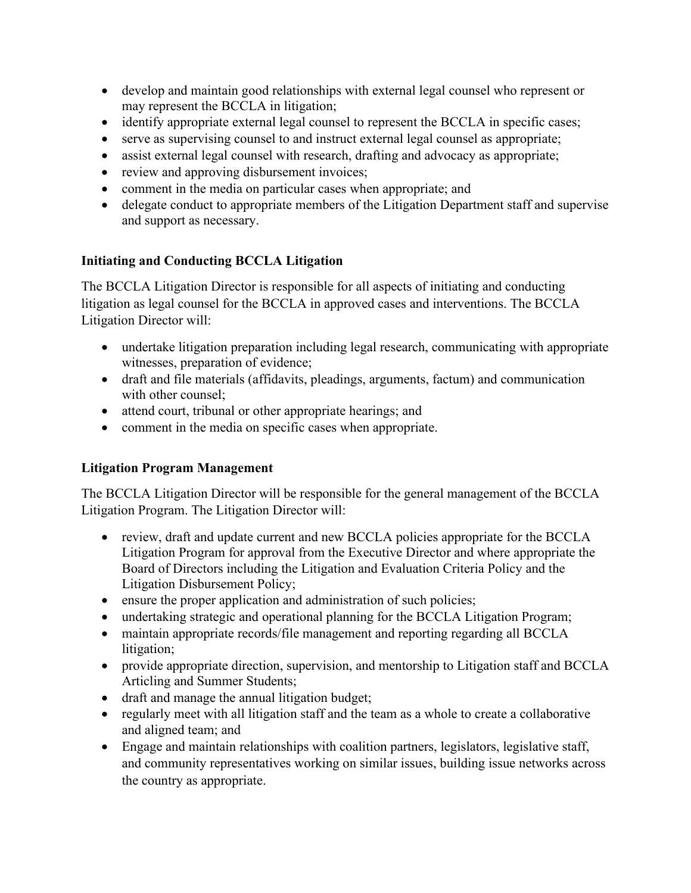- develop and maintain good relationships with external legal counsel who represent or may represent the BCCLA in litigation;
- identify appropriate external legal counsel to represent the BCCLA in specific cases;
- serve as supervising counsel to and instruct external legal counsel as appropriate;
- assist external legal counsel with research, drafting and advocacy as appropriate;
- review and approving disbursement invoices;
- comment in the media on particular cases when appropriate; and
- delegate conduct to appropriate members of the Litigation Department staff and supervise and support as necessary.

## **Initiating and Conducting BCCLA Litigation**

The BCCLA Litigation Director is responsible for all aspects of initiating and conducting litigation as legal counsel for the BCCLA in approved cases and interventions. The BCCLA Litigation Director will:

- undertake litigation preparation including legal research, communicating with appropriate witnesses, preparation of evidence;
- draft and file materials (affidavits, pleadings, arguments, factum) and communication with other counsel;
- attend court, tribunal or other appropriate hearings; and
- comment in the media on specific cases when appropriate.

# **Litigation Program Management**

The BCCLA Litigation Director will be responsible for the general management of the BCCLA Litigation Program. The Litigation Director will:

- review, draft and update current and new BCCLA policies appropriate for the BCCLA Litigation Program for approval from the Executive Director and where appropriate the Board of Directors including the Litigation and Evaluation Criteria Policy and the Litigation Disbursement Policy;
- ensure the proper application and administration of such policies;
- undertaking strategic and operational planning for the BCCLA Litigation Program;
- maintain appropriate records/file management and reporting regarding all BCCLA litigation;
- provide appropriate direction, supervision, and mentorship to Litigation staff and BCCLA Articling and Summer Students;
- draft and manage the annual litigation budget;
- regularly meet with all litigation staff and the team as a whole to create a collaborative and aligned team; and
- Engage and maintain relationships with coalition partners, legislators, legislative staff, and community representatives working on similar issues, building issue networks across the country as appropriate.